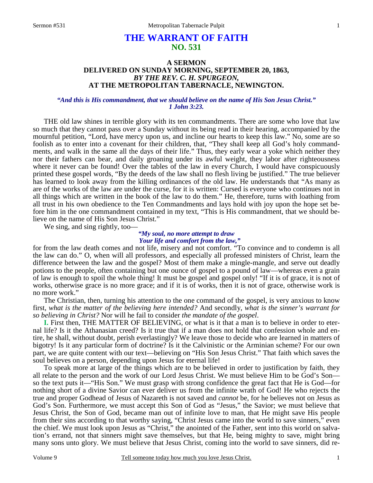# **THE WARRANT OF FAITH NO. 531**

## **A SERMON DELIVERED ON SUNDAY MORNING, SEPTEMBER 20, 1863,**  *BY THE REV. C. H. SPURGEON,*  **AT THE METROPOLITAN TABERNACLE, NEWINGTON.**

### *"And this is His commandment, that we should believe on the name of His Son Jesus Christ." 1 John 3:23.*

THE old law shines in terrible glory with its ten commandments. There are some who love that law so much that they cannot pass over a Sunday without its being read in their hearing, accompanied by the mournful petition, "Lord, have mercy upon us, and incline our hearts to keep this law." No, some are so foolish as to enter into a covenant for their children, that, "They shall keep all God's holy commandments, and walk in the same all the days of their life." Thus, they early wear a yoke which neither they nor their fathers can bear, and daily groaning under its awful weight, they labor after righteousness where it never can be found! Over the tables of the law in every Church, I would have conspicuously printed these gospel words, "By the deeds of the law shall no flesh living be justified." The true believer has learned to look away from the killing ordinances of the old law. He understands that "As many as are of the works of the law are under the curse, for it is written: Cursed is everyone who continues not in all things which are written in the book of the law to do them." He, therefore, turns with loathing from all trust in his own obedience to the Ten Commandments and lays hold with joy upon the hope set before him in the one commandment contained in my text, "This is His commandment, that we should believe on the name of His Son Jesus Christ."

We sing, and sing rightly, too–

#### *"My soul, no more attempt to draw Your life and comfort from the law,"*

for from the law death comes and not life, misery and not comfort. "To convince and to condemn is all the law can do." O, when will all professors, and especially all professed ministers of Christ, learn the difference between the law and the gospel? Most of them make a mingle-mangle, and serve out deadly potions to the people, often containing but one ounce of gospel to a pound of law—whereas even a grain of law is enough to spoil the whole thing! It must be gospel and gospel only! "If it is of grace, it is not of works, otherwise grace is no more grace; and if it is of works, then it is not of grace, otherwise work is no more work."

The Christian, then, turning his attention to the one command of the gospel, is very anxious to know first, *what is the matter of the believing here intended?* And secondly, *what is the sinner's warrant for so believing in Christ?* Nor will he fail to consider *the mandate of the gospel*.

**I.** First then, THE MATTER OF BELIEVING, or what is it that a man is to believe in order to eternal life? Is it the Athanasian creed? Is it true that if a man does not hold that confession whole and entire, he shall, without doubt, perish everlastingly? We leave those to decide who are learned in matters of bigotry! Is it any particular form of doctrine? Is it the Calvinistic or the Arminian scheme? For our own part, we are quite content with our text—believing on "His Son Jesus Christ." That faith which saves the soul believes on a person, depending upon Jesus for eternal life!

To speak more at large of the things which are to be believed in order to justification by faith, they all relate to the person and the work of our Lord Jesus Christ. We must believe Him to be God's Son so the text puts it—"His Son." We must grasp with strong confidence the great fact that He is God—for nothing short of a divine Savior can ever deliver us from the infinite wrath of God! He who rejects the true and proper Godhead of Jesus of Nazareth is not saved and *cannot* be, for he believes not on Jesus as God's Son. Furthermore, we must accept this Son of God as "Jesus," the Savior; we must believe that Jesus Christ, the Son of God, became man out of infinite love to man, that He might save His people from their sins according to that worthy saying, "Christ Jesus came into the world to save sinners," even the chief. We must look upon Jesus as "Christ," the anointed of the Father, sent into this world on salvation's errand, not that sinners might save themselves, but that He, being mighty to save, might bring many sons unto glory. We must believe that Jesus Christ, coming into the world to save sinners, did re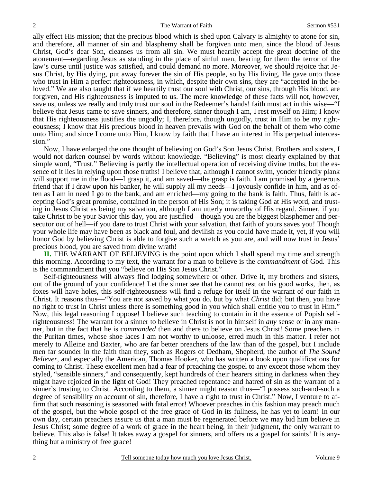ally effect His mission; that the precious blood which is shed upon Calvary is almighty to atone for sin, and therefore, all manner of sin and blasphemy shall be forgiven unto men, since the blood of Jesus Christ, God's dear Son, cleanses us from all sin. We must heartily accept the great doctrine of the atonement—regarding Jesus as standing in the place of sinful men, bearing for them the terror of the law's curse until justice was satisfied, and could demand no more. Moreover, we should rejoice that Jesus Christ, by His dying, put away forever the sin of His people, so by His living, He gave unto those who trust in Him a perfect righteousness, in which, despite their own sins, they are "accepted in the beloved." We are also taught that if we heartily trust our soul with Christ, our sins, through His blood, are forgiven, and His righteousness is imputed to us. The mere knowledge of these facts will not, however, save us, unless we really and truly trust our soul in the Redeemer's hands! faith must act in this wise—"I believe that Jesus came to save sinners, and therefore, sinner though I am, I rest myself on Him; I know that His righteousness justifies the ungodly; I, therefore, though ungodly, trust in Him to be my righteousness; I know that His precious blood in heaven prevails with God on the behalf of them who come unto Him; and since I come unto Him, I know by faith that I have an interest in His perpetual intercession."

Now, I have enlarged the one thought of believing on God's Son Jesus Christ. Brothers and sisters, I would not darken counsel by words without knowledge. "Believing" is most clearly explained by that simple word, "Trust." Believing is partly the intellectual operation of receiving divine truths, but the essence of it lies in relying upon those truths! I believe that, although I cannot swim, yonder friendly plank will support me in the flood—I grasp it, and am saved—the grasp is faith. I am promised by a generous friend that if I draw upon his banker, he will supply all my needs—I joyously confide in him, and as often as I am in need I go to the bank, and am enriched—my going to the bank is faith. Thus, faith is accepting God's great promise, contained in the person of His Son; it is taking God at His word, and trusting in Jesus Christ as being my salvation, although I am utterly unworthy of His regard. Sinner, if you take Christ to be your Savior this day, you are justified—though you are the biggest blasphemer and persecutor out of hell—if you dare to trust Christ with your salvation, that faith of yours saves you! Though your whole life may have been as black and foul, and devilish as you could have made it, yet, if you will honor God by believing Christ is able to forgive such a wretch as you are, and will now trust in Jesus' precious blood, you are saved from divine wrath!

**II.** THE WARRANT OF BELIEVING is the point upon which I shall spend my time and strength this morning. According to my text, the warrant for a man to believe is the *commandment* of God. This is the commandment that you "believe on His Son Jesus Christ."

Self-righteousness will always find lodging somewhere or other. Drive it, my brothers and sisters, out of the ground of your confidence! Let the sinner see that he cannot rest on his good works, then, as foxes will have holes, this self-righteousness will find a refuge for itself in the warrant of our faith in Christ. It reasons thus—"You are not saved by what *you* do, but by what *Christ* did; but then, you have no right to trust in Christ unless there is something good in you which shall entitle you to trust in Him." Now, this legal reasoning I oppose! I believe such teaching to contain in it the essence of Popish selfrighteousness! The warrant for a sinner to believe in Christ is not in himself in *any* sense or in any manner, but in the fact that he is *commanded* then and there to believe on Jesus Christ! Some preachers in the Puritan times, whose shoe laces I am not worthy to unloose, erred much in this matter. I refer not merely to Alleine and Baxter, who are far better preachers of the law than of the gospel, but I include men far sounder in the faith than they, such as Rogers of Dedham, Shepherd, the author of *The Sound Believer*, and especially the American, Thomas Hooker, who has written a book upon qualifications for coming to Christ. These excellent men had a fear of preaching the gospel to any except those whom they styled, "sensible sinners," and consequently, kept hundreds of their hearers sitting in darkness when they might have rejoiced in the light of God! They preached repentance and hatred of sin as the warrant of a sinner's trusting to Christ. According to them, a sinner might reason thus—"I possess such-and-such a degree of sensibility on account of sin, therefore, I have a right to trust in Christ." Now, I venture to affirm that such reasoning is seasoned with fatal error! Whoever preaches in this fashion may preach much of the gospel, but the whole gospel of the free grace of God in its fullness, he has yet to learn! In our own day, certain preachers assure us that a man must be regenerated before we may bid him believe in Jesus Christ; some degree of a work of grace in the heart being, in their judgment, the only warrant to believe. This also is false! It takes away a gospel for sinners, and offers us a gospel for saints! It is anything but a ministry of free grace!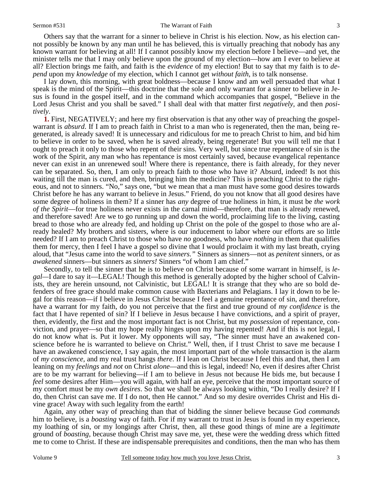Others say that the warrant for a sinner to believe in Christ is his election. Now, as his election cannot possibly be known by any man until he has believed, this is virtually preaching that nobody has any known warrant for believing at all! If I cannot possibly know my election before I believe—and yet, the minister tells me that I may only believe upon the ground of my election—how am I ever to believe at all? Election brings me faith, and faith is the *evidence* of my election! But to say that my faith is to *depend* upon my *knowledge* of my election, which I cannot get *without faith*, is to talk nonsense.

I lay down, this morning, with great boldness—because I know and am well persuaded that what I speak is the mind of the Spirit—this doctrine that the sole and only warrant for a sinner to believe in Jesus is found in the gospel itself, and in the command which accompanies that gospel, "Believe in the Lord Jesus Christ and you shall be saved." I shall deal with that matter first *negatively,* and then *positively*.

**1.** First, NEGATIVELY; and here my first observation is that any other way of preaching the gospelwarrant is *absurd*. If I am to preach faith in Christ to a man who is regenerated, then the man, being regenerated, is already saved! It is unnecessary and ridiculous for me to preach Christ to him, and bid him to believe in order to be saved, when he is saved already, being regenerate! But you will tell me that I ought to preach it only to those who repent of their sins. Very well, but since true repentance of sin is the work of the Spirit, any man who has repentance is most certainly saved, because evangelical repentance never can exist in an unrenewed soul! Where there is repentance, there is faith already, for they never can be separated. So, then, I am only to preach faith to those who have it? Absurd, indeed! Is not this waiting till the man is cured, and then, bringing him the medicine? This is preaching Christ to the righteous, and not to sinners. "No," says one, "but we mean that a man must have some good desires towards Christ before he has any warrant to believe in Jesus." Friend, do you not know that all good desires have some degree of holiness in them? If a sinner has *any* degree of true holiness in him, it must be *the work of the Spirit*—for true holiness never exists in the carnal mind—therefore, that man is already renewed, and therefore saved! Are we to go running up and down the world, proclaiming life to the living, casting bread to those who are already fed, and holding up Christ on the pole of the gospel to those who are already healed? My brothers and sisters, where is our inducement to labor where our efforts are so little needed? If I am to preach Christ to those who have *no* goodness, who have *nothing* in them that qualifies them for mercy, then I feel I have a gospel so divine that I would proclaim it with my last breath, crying aloud, that "Jesus came into the world to save *sinners."* Sinners as sinners—not as *penitent* sinners, or as *awakened* sinners—but sinners as *sinners!* Sinners "of whom I am chief."

Secondly, to tell the sinner that he is to believe on Christ because of some warrant in himself, is *legal—*I dare to say it—LEGAL! Though this method is generally adopted by the higher school of Calvinists, they are herein unsound, not Calvinistic, but LEGAL! It is strange that they who are so bold defenders of free grace should make common cause with Baxterians and Pelagians. I lay it down to be legal for this reason—if I believe in Jesus Christ because I feel a genuine repentance of sin, and therefore, have a warrant for my faith, do you not perceive that the first and true ground of *my confidence* is the fact that I have repented of sin? If I believe in Jesus because I have convictions, and a spirit of prayer, then, evidently, the first and the most important fact is not Christ, but my *possession* of repentance, conviction, and prayer—so that my hope really hinges upon my having repented! And if this is not legal, I do not know what is. Put it lower. My opponents will say, "The sinner must have an awakened conscience before he is warranted to believe on Christ." Well, then, if I trust Christ to save me because I have an awakened conscience, I say again, the most important part of the whole transaction is the alarm of *my conscience,* and my real trust hangs *there*. If I lean on Christ because I feel this and that, then I am leaning on my *feelings* and *not* on Christ *alone*—and this is legal, indeed! No, even if desires after Christ are to be my warrant for believing—if I am to believe in Jesus not because He bids me, but because I *feel* some desires after Him—you will again, with half an eye, perceive that the most important source of my comfort must be my *own desires*. So that we shall be always looking within, "Do I really desire? If I do, then Christ can save me. If I do not, then He cannot." And so my desire overrides Christ and His divine grace! Away with such legality from the earth!

Again, any other way of preaching than that of bidding the sinner believe because God *commands* him to believe, is a *boasting* way of faith. For if my warrant to trust in Jesus is found in my experience, my loathing of sin, or my longings after Christ, then, all these good things of mine are a *legitimate* ground of *boasting*, because though Christ may save me, yet, these were the wedding dress which fitted me to come to Christ. If these are indispensable prerequisites and conditions, then the man who has them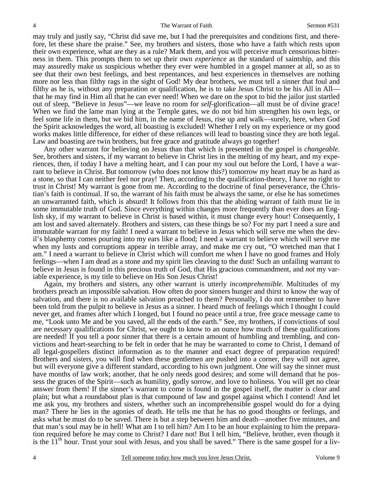may truly and justly say, "Christ did save me, but I had the prerequisites and conditions first, and therefore, let these share the praise." See, my brothers and sisters, those who have a faith which rests upon their own experience, what are they as a rule? Mark them, and you will perceive much censorious bitterness in them. This prompts them to set up their own *experience* as the standard of saintship, and this may assuredly make us suspicious whether they ever were humbled in a gospel manner at all, so as to see that their own best feelings, and best repentances, and best experiences in themselves are nothing more nor less than filthy rags in the sight of God! My dear brothers, we must tell a sinner that foul and filthy as he is, without any preparation or qualification, he is to take Jesus Christ to be his All in All that he may find in Him all that he can ever need! When we dare on the spot to bid the jailor just startled out of sleep, "Believe in Jesus"—we leave no room for *self*-glorification—all must be of divine grace! When we find the lame man lying at the Temple gates, we do not bid him strengthen his own legs, or feel some life in them, but we bid him, in the name of Jesus, rise up and walk—surely, here, when God the Spirit acknowledges the word, all boasting is excluded! Whether I rely on my experience or my good works makes little difference, for either of these reliances will lead to boasting since they are both legal. Law and boasting are twin brothers, but free grace and gratitude always go together!

Any other warrant for believing on Jesus than that which is presented in the gospel is *changeable*. See, brothers and sisters, if my warrant to believe in Christ lies in the melting of my heart, and my experiences, then, if today I have a melting heart, and I can pour my soul out before the Lord, I have a warrant to believe in Christ. But tomorrow (who does not know this?) tomorrow my heart may be as hard as a stone, so that I can neither feel nor pray! Then, according to the qualification-theory, I have no right to trust in Christ! My warrant is gone from me. According to the doctrine of final perseverance, the Christian's faith is continual. If so, the warrant of his faith must be always the same, or else he has sometimes an unwarranted faith, which is absurd! It follows from this that the abiding warrant of faith must lie in some immutable truth of God. Since everything within changes more frequently than ever does an English sky, if my warrant to believe in Christ is based within, it must change every hour! Consequently, I am lost and saved alternately. Brothers and sisters, can these things be so? For my part I need a sure and immutable warrant for my faith! I need a warrant to believe in Jesus which will serve me when the devil's blasphemy comes pouring into my ears like a flood; I need a warrant to believe which will serve me when my lusts and corruptions appear in terrible array, and make me cry out, "O wretched man that I am." I need a warrant to believe in Christ which will comfort me when I have no good frames and Holy feelings—when I am dead as a stone and my spirit lies cleaving to the dust! Such an unfailing warrant to believe in Jesus is found in this precious truth of God, that His gracious commandment, and *not* my variable experience, is my title to believe on His Son Jesus Christ!

Again, my brothers and sisters, any other warrant is utterly *incomprehensible*. Multitudes of my brothers preach an impossible salvation. How often do poor sinners hunger and thirst to know the way of salvation, and there is no available salvation preached to them? Personally, I do not remember to have been told from the pulpit to believe in Jesus as a sinner. I heard much of feelings which I thought I could never get, and frames after which I longed, but I found no peace until a true, free grace message came to me, "Look unto Me and be you saved, all the ends of the earth." See, my brothers, if convictions of soul are necessary qualifications for Christ, we ought to know to an ounce how much of these qualifications are needed! If you tell a poor sinner that there is a certain amount of humbling and trembling, and convictions and heart-searching to be felt in order that he may be warranted to come to Christ, I demand of all legal-gospellers distinct information as to the manner and exact degree of preparation required! Brothers and sisters, you will find when these gentlemen are pushed into a corner, they will not agree, but will everyone give a different standard, according to his own judgment. One will say the sinner must have months of law work; another, that he only needs good desires; and some will demand that he possess the graces of the Spirit—such as humility, godly sorrow, and love to holiness. You will get no clear answer from them! If the sinner's warrant to come is found in the gospel itself, the matter is clear and plain; but what a roundabout plan is that compound of law and gospel against which I contend! And let me ask you, my brothers and sisters, whether such an incomprehensible gospel would do for a dying man? There he lies in the agonies of death. He tells me that he has no good thoughts or feelings, and asks what he must do to be saved. There is but a step between him and death—another five minutes, and that man's soul may be in hell! What am I to tell him? Am I to be an hour explaining to him the preparation required before he may come to Christ? I dare not! But I tell him, "Believe, brother, even though it is the  $11<sup>th</sup>$  hour. Trust your soul with Jesus, and you shall be saved." There is the same gospel for a liv-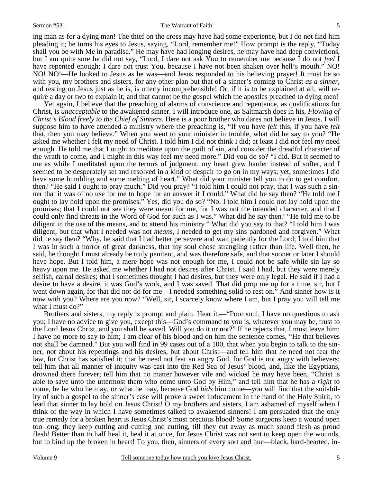#### Sermon #531 The Warrant of Faith

ing man as for a dying man! The thief on the cross may have had some experience, but I do not find him pleading it; he turns his eyes to Jesus, saying, "Lord, remember me!" How prompt is the reply, "Today shall you be with Me in paradise." He may have had longing desires, he may have had deep convictions, but I am quite sure he did not say, "Lord, I dare not ask You to remember me because I do not *feel* I have repented enough; I dare not trust You, because I have not been shaken over hell's mouth." NO! NO! NO!—He looked to Jesus as he was—and Jesus responded to his believing prayer! It must be so with you, my brothers and sisters, for any other plan but that of a sinner's coming to Christ *as a sinner,* and resting on Jesus just as he is, is utterly incomprehensible! Or, if it is to be explained at all, will require a day or two to explain it; and that cannot be the gospel which the apostles preached to dying men!

Yet again, I believe that the preaching of alarms of conscience and repentance, as qualifications for Christ, is *unacceptable* to the awakened sinner. I will introduce one, as Saltmarsh does in his, *Flowing of Christ's Blood freely to the Chief of Sinners.* Here is a poor brother who dares not believe in Jesus. I will suppose him to have attended a ministry where the preaching is, "If you have *felt* this, if you have *felt* that, then you may believe." When you went to your minister in trouble, what did he say to you? "He asked me whether I felt my need of Christ. I told him I did not think I did; at least I did not feel my need enough. He told me that I ought to meditate upon the guilt of sin, and consider the dreadful character of the wrath to come, and I might in this way feel my need more." Did you do so? "I did. But it seemed to me as while I meditated upon the terrors of judgment, my heart grew harder instead of softer, and I seemed to be desperately set and resolved in a kind of despair to go on in my ways; yet, sometimes I did have some humbling and some melting of heart." What did your minister tell you to do to get comfort, then? "He said I ought to pray much." Did you pray? "I told him I could not pray, that I was such a sinner that it was of no use for me to hope for an answer if I could." What did he say then? "He told me I ought to lay hold upon the promises." Yes, did you do so? "No. I told him I could not lay hold upon the promises; that I could not see they were meant for me, for I was not the intended character, and that I could only find threats in the Word of God for such as I was." What did he say then? "He told me to be diligent in the use of the means, and to attend his ministry." What did you say to that? "I told him I was diligent, but that what I needed was not *means*, I needed to get my sins pardoned and forgiven." What did he say then? "Why, he said that I had better persevere and wait patiently for the Lord; I told him that I was in such a horror of great darkness, that my soul chose strangling rather than life. Well then, he said, he thought I must already be truly penitent, and was therefore safe, and that sooner or later I should have hope. But I told him, a mere hope was not enough for me, I could not be safe while sin lay so heavy upon me. He asked me whether I had not desires after Christ. I said I had, but they were merely selfish, carnal desires; that I sometimes thought I had desires, but they were only legal. He said if I had a desire to have a desire, it was God's work, and I was saved. That did prop me up for a time, sir, but I went down again, for that did not do for me—I needed something solid to rest on." And sinner how is it now with you? Where are you now? "Well, sir, I scarcely know where I am, but I pray you will tell me what I must do?"

Brothers and sisters, my reply is prompt and plain. Hear it.—"Poor soul, I have no questions to ask you; I have no advice to give you, except this—God's command to you is, whatever you may be, trust to the Lord Jesus Christ, and you shall be saved. Will you do it or not?" If he rejects that, I must leave him; I have no more to say to him; I am clear of his blood and on him the sentence comes, "He that believes not shall be damned." But you will find in 99 cases out of a 100, that when you begin to talk to the sinner, not about his repentings and his desires, but about Christ—and tell him that he need not fear the law, for Christ has satisfied it; that he need not fear an angry God, for God is not angry with believers; tell him that all manner of iniquity was cast into the Red Sea of Jesus' blood, and, like the Egyptians, drowned there forever; tell him that no matter however vile and wicked he may have been, "Christ is able to save unto the uttermost them who come unto God by Him," and tell him that he has a *right* to come, be he who he may, or what he may, because God *bids* him come—you will find that the suitability of such a gospel to the sinner's case will prove a sweet inducement in the hand of the Holy Spirit, to lead that sinner to lay hold on Jesus Christ! O my brothers and sisters, I am ashamed of myself when I think of the way in which I have sometimes talked to awakened sinners! I am persuaded that the only true remedy for a broken heart is Jesus Christ's most precious blood! Some surgeons keep a wound open too long; they keep cutting and cutting and cutting, till they cut away as much sound flesh as proud flesh! Better than to half heal it, heal it at once, for Jesus Christ was not sent to keep open the wounds, but to bind up the broken in heart! To you, then, sinners of every sort and hue—black, hard-hearted, in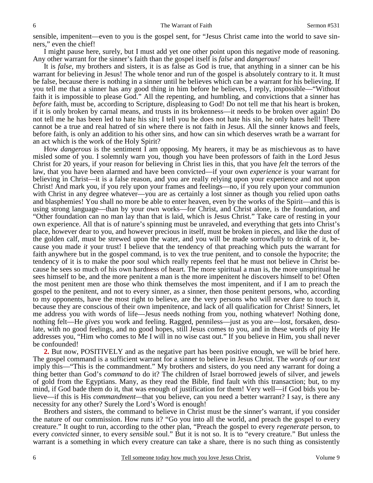sensible, impenitent—even to you is the gospel sent, for "Jesus Christ came into the world to save sinners," even the chief!

I might pause here, surely, but I must add yet one other point upon this negative mode of reasoning. Any other warrant for the sinner's faith than the gospel itself is *false* and *dangerous!*

It is *false,* my brothers and sisters, it is as false as God is true, that anything in a sinner can be his warrant for believing in Jesus! The whole tenor and run of the gospel is absolutely contrary to it. It must be false, because there is nothing in a sinner until he believes which can be a warrant for his believing. If you tell me that a sinner has any good thing in him before he believes, I reply, impossible—"Without faith it is impossible to please God." All the repenting, and humbling, and convictions that a sinner has *before* faith, must be, according to Scripture, displeasing to God! Do not tell me that his heart is broken, if it is only broken by carnal means, and trusts in its brokenness—it needs to be broken over again! Do not tell me he has been led to hate his sin; I tell you he does not hate his sin, he only hates hell! There cannot be a true and real hatred of sin where there is not faith in Jesus. All the sinner knows and feels, before faith, is only an addition to his other sins, and how can sin which deserves wrath be a warrant for an act which is the work of the Holy Spirit?

How *dangerous* is the sentiment I am opposing. My hearers, it may be as mischievous as to have misled some of you. I solemnly warn you, though you have been professors of faith in the Lord Jesus Christ for 20 years, if your reason for believing in Christ lies in this, that you have *felt* the terrors of the law, that you have been alarmed and have been convicted—if your own *experience* is your warrant for believing in Christ—it is a false reason, and you are really relying upon your experience and not upon Christ! And mark you, if you rely upon your frames and feelings—no, if you rely upon your communion with Christ in any degree whatever—you are as certainly a lost sinner as though you relied upon oaths and blasphemies! You shall no more be able to enter heaven, even by the works of the Spirit—and this is using strong language—than by your own works—for Christ, and Christ alone, is the foundation, and "Other foundation can no man lay than that is laid, which is Jesus Christ." Take care of resting in your own experience. All that is of nature's spinning must be unraveled, and everything that gets into Christ's place, however dear to you, and however precious in itself, must be broken in pieces, and like the dust of the golden calf, must be strewed upon the water, and you will be made sorrowfully to drink of it, because you made *it* your trust! I believe that the tendency of that preaching which puts the warrant for faith anywhere but in the gospel command, is to vex the true penitent, and to console the hypocrite; the tendency of it is to make the poor soul which really repents feel that he must not believe in Christ because he sees so much of his own hardness of heart. The more spiritual a man is, the more unspiritual he sees himself to be, and the more penitent a man is the more impenitent he discovers himself to be! Often the most penitent men are those who think themselves the most impenitent, and if I am to preach the gospel to the penitent, and not to every sinner, as a sinner, then those penitent persons, who, according to my opponents, have the most right to believe, are the very persons who will never dare to touch it, because they are conscious of their own impenitence, and lack of all qualification for Christ! Sinners, let me address you with words of life—Jesus needs nothing from you, nothing whatever! Nothing done, nothing felt—He *gives* you work and feeling. Ragged, penniless—just as you are—lost, forsaken, desolate, with no good feelings, and no good hopes, still Jesus comes to you, and in these words of pity He addresses you, "Him who comes to Me I will in no wise cast out." If you believe in Him, you shall never be confounded!

**2.** But now, POSITIVELY and as the negative part has been positive enough, we will be brief here. The gospel command is a sufficient warrant for a sinner to believe in Jesus Christ. The *words of our text*  imply this—"This is the commandment." My brothers and sisters, do you need any warrant for doing a thing better than God's *command* to do it? The children of Israel borrowed jewels of silver, and jewels of gold from the Egyptians. Many, as they read the Bible, find fault with this transaction; but, to my mind, if God bade them do it, that was enough of justification for them! Very well—if God bids you believe—if this is His *commandment—*that you believe, can you need a better warrant? I say, is there any necessity for any other? Surely the Lord's Word is enough!

Brothers and sisters, the command to believe in Christ must be the sinner's warrant, if you consider the nature of our commission. How runs it? "Go you into all the world, and preach the gospel to every creature." It ought to run, according to the other plan, "Preach the gospel to every *regenerate* person, to every *convicted* sinner, to every *sensible* soul." But it is not so. It is to "every creature." But unless the warrant is a something in which every creature can take a share, there is no such thing as consistently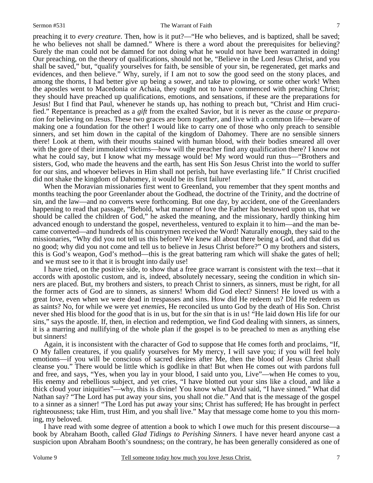preaching it to *every creature*. Then, how is it put?—"He who believes, and is baptized, shall be saved; he who believes not shall be damned." Where is there a word about the prerequisites for believing? Surely the man could not be damned for not doing what he would not have been warranted in doing! Our preaching, on the theory of qualifications, should not be, "Believe in the Lord Jesus Christ, and you shall be saved," but, "qualify yourselves for faith, be sensible of your sin, be regenerated, get marks and evidences, and then believe." Why, surely, if I am not to sow the good seed on the stony places, and among the thorns, I had better give up being a sower, and take to plowing, or some other work! When the apostles went to Macedonia or Achaia, they ought not to have commenced with preaching Christ; they should have preached up qualifications, emotions, and sensations, if these are the preparations for Jesus! But I find that Paul, whenever he stands up, has nothing to preach but, "Christ and Him crucified." Repentance is preached as a *gift* from the exalted Savior, but it is never as the *cause* or *preparation* for believing on Jesus. These two graces are born *together,* and live with a common life—beware of making one a foundation for the other! I would like to carry one of those who only preach to sensible sinners, and set him down in the capital of the kingdom of Dahomey. There are no sensible sinners there! Look at them, with their mouths stained with human blood, with their bodies smeared all over with the gore of their immolated victims—how will the preacher find any qualification there? I know not what he could say, but I know what my message would be! My word would run thus—"Brothers and sisters, God, who made the heavens and the earth, has sent His Son Jesus Christ into the world to suffer for our sins, and whoever believes in Him shall not perish, but have everlasting life." If Christ crucified did not shake the kingdom of Dahomey, it would be its first failure!

When the Moravian missionaries first went to Greenland, you remember that they spent months and months teaching the poor Greenlander about the Godhead, the doctrine of the Trinity, and the doctrine of sin, and the law—and no converts were forthcoming. But one day, by accident, one of the Greenlanders happening to read that passage, "Behold, what manner of love the Father has bestowed upon us, that we should be called the children of God," he asked the meaning, and the missionary, hardly thinking him advanced enough to understand the gospel, nevertheless, ventured to explain it to him—and the man became converted—and hundreds of his countrymen received the Word! Naturally enough, they said to the missionaries, "Why did you not tell us this before? We knew all about there being a God, and that did us no good; why did you not come and tell us to believe in Jesus Christ before?" O my brothers and sisters, this is God's weapon, God's method—this is the great battering ram which will shake the gates of hell; and we must see to it that it is brought into daily use!

I have tried, on the positive side, to show that a free grace warrant is consistent with the text—that it accords with apostolic custom, and is, indeed, absolutely necessary, seeing the condition in which sinners are placed. But, my brothers and sisters, to preach Christ to sinners, as sinners, must be right, for all the former acts of God are to sinners, as sinners! Whom did God elect? Sinners! He loved us with a great love, even when we were dead in trespasses and sins. How did He redeem us? Did He redeem us as saints? No, for while we were yet *enemies*, He reconciled us unto God by the death of His Son. Christ never shed His blood for the *good* that is in us, but for the *sin* that is in us! "He laid down His life for our sins," says the apostle. If, then, in election and redemption, we find God dealing with sinners, as sinners, it is a marring and nullifying of the whole plan if the gospel is to be preached to men as anything else but sinners!

Again, it is inconsistent with the character of God to suppose that He comes forth and proclaims, "If, O My fallen creatures, if you qualify yourselves for My mercy, I will save you; if you will feel holy emotions—if you will be conscious of sacred desires after Me, then the blood of Jesus Christ shall cleanse you." There would be little which is godlike in that! But when He comes out with pardons full and free, and says, "Yes, when you lay in your blood, I said unto you, Live"—when He comes to you, His enemy and rebellious subject, and yet cries, "I have blotted out your sins like a cloud, and like a thick cloud your iniquities"—why, this is divine! You know what David said, "I have sinned." What did Nathan say? "The Lord has put away your sins, you shall not die." And that is the message of the gospel to a sinner as a sinner! "The Lord has put away your sins; Christ has suffered; He has brought in perfect righteousness; take Him, trust Him, and you shall live." May that message come home to you this morning, my beloved.

I have read with some degree of attention a book to which I owe much for this present discourse—a book by Abraham Booth, called *Glad Tidings to Perishing Sinners.* I have never heard anyone cast a suspicion upon Abraham Booth's soundness; on the contrary, he has been generally considered as one of